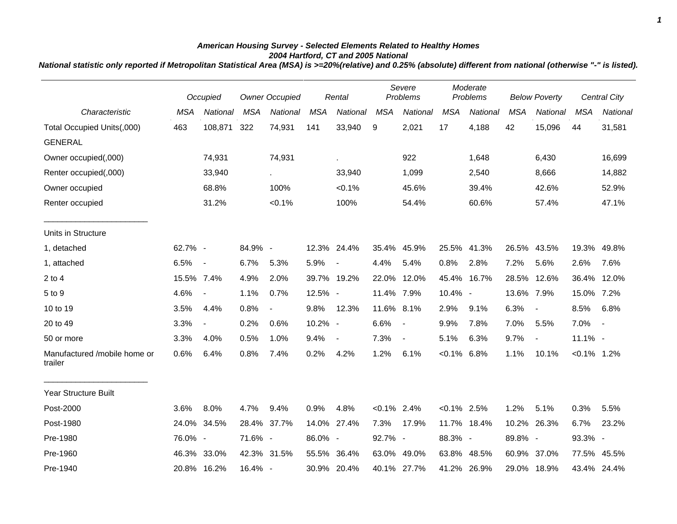## *American Housing Survey - Selected Elements Related to Healthy Homes 2004 Hartford, CT and 2005 National*

*National statistic only reported if Metropolitan Statistical Area (MSA) is >=20%(relative) and 0.25% (absolute) different from national (otherwise "-" is listed).*

|                                         |            | Occupied       |            | <b>Owner Occupied</b> |            | Rental                   |                | Severe<br>Problems       |                | Moderate<br>Problems |            | <b>Below Poverty</b>     |                | <b>Central City</b> |
|-----------------------------------------|------------|----------------|------------|-----------------------|------------|--------------------------|----------------|--------------------------|----------------|----------------------|------------|--------------------------|----------------|---------------------|
| Characteristic                          | <b>MSA</b> | National       | <b>MSA</b> | National              | <b>MSA</b> | National                 | <b>MSA</b>     | National                 | <b>MSA</b>     | National             | <b>MSA</b> | <b>National</b>          | <b>MSA</b>     | National            |
| Total Occupied Units(,000)              | 463        | 108,871        | 322        | 74,931                | 141        | 33,940                   | 9              | 2,021                    | 17             | 4,188                | 42         | 15,096                   | 44             | 31,581              |
| <b>GENERAL</b>                          |            |                |            |                       |            |                          |                |                          |                |                      |            |                          |                |                     |
| Owner occupied(,000)                    |            | 74,931         |            | 74,931                |            | ä.                       |                | 922                      |                | 1,648                |            | 6,430                    |                | 16,699              |
| Renter occupied(,000)                   |            | 33,940         |            | $\sim$                |            | 33,940                   |                | 1,099                    |                | 2,540                |            | 8,666                    |                | 14,882              |
| Owner occupied                          |            | 68.8%          |            | 100%                  |            | $< 0.1\%$                |                | 45.6%                    |                | 39.4%                |            | 42.6%                    |                | 52.9%               |
| Renter occupied                         |            | 31.2%          |            | $< 0.1\%$             |            | 100%                     |                | 54.4%                    |                | 60.6%                |            | 57.4%                    |                | 47.1%               |
| Units in Structure                      |            |                |            |                       |            |                          |                |                          |                |                      |            |                          |                |                     |
| 1, detached                             | 62.7% -    |                | 84.9% -    |                       |            | 12.3% 24.4%              | 35.4%          | 45.9%                    |                | 25.5% 41.3%          |            | 26.5% 43.5%              | 19.3%          | 49.8%               |
| 1, attached                             | 6.5%       | $\sim$         | 6.7%       | 5.3%                  | 5.9%       | $\blacksquare$           | 4.4%           | 5.4%                     | 0.8%           | 2.8%                 | 7.2%       | 5.6%                     | 2.6%           | 7.6%                |
| $2$ to $4$                              | 15.5% 7.4% |                | 4.9%       | 2.0%                  |            | 39.7% 19.2%              | 22.0%          | 12.0%                    | 45.4%          | 16.7%                | 28.5%      | 12.6%                    | 36.4%          | 12.0%               |
| 5 to 9                                  | 4.6%       | $\blacksquare$ | 1.1%       | 0.7%                  | 12.5% -    |                          | 11.4% 7.9%     |                          | 10.4% -        |                      | 13.6% 7.9% |                          | 15.0%          | 7.2%                |
| 10 to 19                                | 3.5%       | 4.4%           | 0.8%       | $\blacksquare$        | 9.8%       | 12.3%                    | 11.6% 8.1%     |                          | 2.9%           | 9.1%                 | 6.3%       | $\overline{\phantom{a}}$ | 8.5%           | 6.8%                |
| 20 to 49                                | 3.3%       | $\blacksquare$ | 0.2%       | 0.6%                  | 10.2% -    |                          | 6.6%           | $\sim$                   | 9.9%           | 7.8%                 | 7.0%       | 5.5%                     | 7.0%           | $\sim$              |
| 50 or more                              | 3.3%       | 4.0%           | 0.5%       | 1.0%                  | 9.4%       | $\overline{\phantom{a}}$ | 7.3%           | $\overline{\phantom{a}}$ | 5.1%           | 6.3%                 | 9.7%       | $\overline{\phantom{a}}$ | 11.1% -        |                     |
| Manufactured /mobile home or<br>trailer | 0.6%       | 6.4%           | 0.8%       | 7.4%                  | 0.2%       | 4.2%                     | 1.2%           | 6.1%                     | $< 0.1\%$      | 6.8%                 | 1.1%       | 10.1%                    | $< 0.1\%$ 1.2% |                     |
| <b>Year Structure Built</b>             |            |                |            |                       |            |                          |                |                          |                |                      |            |                          |                |                     |
| Post-2000                               | 3.6%       | 8.0%           | 4.7%       | 9.4%                  | 0.9%       | 4.8%                     | $< 0.1\%$ 2.4% |                          | $< 0.1\%$ 2.5% |                      | 1.2%       | 5.1%                     | 0.3%           | 5.5%                |
| Post-1980                               | 24.0%      | 34.5%          |            | 28.4% 37.7%           |            | 14.0% 27.4%              | 7.3%           | 17.9%                    |                | 11.7% 18.4%          | 10.2%      | 26.3%                    | 6.7%           | 23.2%               |
| Pre-1980                                | 76.0% -    |                | 71.6% -    |                       | 86.0% -    |                          | 92.7% -        |                          | 88.3% -        |                      | 89.8% -    |                          | 93.3% -        |                     |
| Pre-1960                                | 46.3%      | 33.0%          |            | 42.3% 31.5%           |            | 55.5% 36.4%              | 63.0%          | 49.0%                    |                | 63.8% 48.5%          | 60.9%      | 37.0%                    |                | 77.5% 45.5%         |
| Pre-1940                                |            | 20.8% 16.2%    | 16.4% -    |                       |            | 30.9% 20.4%              |                | 40.1% 27.7%              |                | 41.2% 26.9%          |            | 29.0% 18.9%              |                | 43.4% 24.4%         |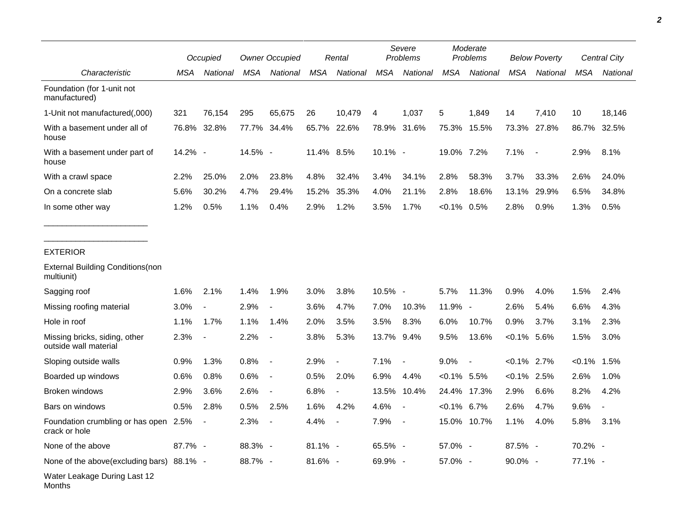|                                                        | Occupied |                          | <b>Owner Occupied</b> |                          | Rental     |                          | Severe<br>Problems |                          | Moderate<br>Problems |             | <b>Below Poverty</b> |                          | Central City |                |
|--------------------------------------------------------|----------|--------------------------|-----------------------|--------------------------|------------|--------------------------|--------------------|--------------------------|----------------------|-------------|----------------------|--------------------------|--------------|----------------|
| Characteristic                                         | MSA      | National                 | MSA                   | National                 | MSA        | National                 | MSA                | National                 | MSA                  | National    | MSA                  | National                 | MSA          | National       |
| Foundation (for 1-unit not<br>manufactured)            |          |                          |                       |                          |            |                          |                    |                          |                      |             |                      |                          |              |                |
| 1-Unit not manufactured(,000)                          | 321      | 76,154                   | 295                   | 65,675                   | 26         | 10,479                   | 4                  | 1,037                    | 5                    | 1,849       | 14                   | 7,410                    | 10           | 18,146         |
| With a basement under all of<br>house                  | 76.8%    | 32.8%                    | 77.7%                 | 34.4%                    | 65.7%      | 22.6%                    | 78.9%              | 31.6%                    | 75.3%                | 15.5%       | 73.3%                | 27.8%                    | 86.7%        | 32.5%          |
| With a basement under part of<br>house                 | 14.2% -  |                          | 14.5% -               |                          | 11.4% 8.5% |                          | 10.1% -            |                          | 19.0% 7.2%           |             | 7.1%                 | $\overline{\phantom{a}}$ | 2.9%         | 8.1%           |
| With a crawl space                                     | 2.2%     | 25.0%                    | 2.0%                  | 23.8%                    | 4.8%       | 32.4%                    | 3.4%               | 34.1%                    | 2.8%                 | 58.3%       | 3.7%                 | 33.3%                    | 2.6%         | 24.0%          |
| On a concrete slab                                     | 5.6%     | 30.2%                    | 4.7%                  | 29.4%                    | 15.2%      | 35.3%                    | 4.0%               | 21.1%                    | 2.8%                 | 18.6%       | 13.1%                | 29.9%                    | 6.5%         | 34.8%          |
| In some other way                                      | 1.2%     | 0.5%                     | 1.1%                  | 0.4%                     | 2.9%       | 1.2%                     | 3.5%               | 1.7%                     | $< 0.1\%$ 0.5%       |             | 2.8%                 | 0.9%                     | 1.3%         | 0.5%           |
| <b>EXTERIOR</b>                                        |          |                          |                       |                          |            |                          |                    |                          |                      |             |                      |                          |              |                |
| <b>External Building Conditions (non</b><br>multiunit) |          |                          |                       |                          |            |                          |                    |                          |                      |             |                      |                          |              |                |
| Sagging roof                                           | 1.6%     | 2.1%                     | 1.4%                  | 1.9%                     | 3.0%       | 3.8%                     | 10.5% -            |                          | 5.7%                 | 11.3%       | 0.9%                 | 4.0%                     | 1.5%         | 2.4%           |
| Missing roofing material                               | 3.0%     | $\blacksquare$           | 2.9%                  | $\blacksquare$           | 3.6%       | 4.7%                     | 7.0%               | 10.3%                    | 11.9%                | $\sim$      | 2.6%                 | 5.4%                     | 6.6%         | 4.3%           |
| Hole in roof                                           | 1.1%     | 1.7%                     | 1.1%                  | 1.4%                     | 2.0%       | 3.5%                     | 3.5%               | 8.3%                     | 6.0%                 | 10.7%       | 0.9%                 | 3.7%                     | 3.1%         | 2.3%           |
| Missing bricks, siding, other<br>outside wall material | 2.3%     | $\overline{\phantom{a}}$ | 2.2%                  |                          | 3.8%       | 5.3%                     | 13.7% 9.4%         |                          | 9.5%                 | 13.6%       | $< 0.1\%$ 5.6%       |                          | 1.5%         | 3.0%           |
| Sloping outside walls                                  | 0.9%     | 1.3%                     | 0.8%                  | $\overline{\phantom{a}}$ | 2.9%       | $\overline{\phantom{a}}$ | 7.1%               | $\blacksquare$           | 9.0%                 |             | $< 0.1\%$ 2.7%       |                          | $< 0.1\%$    | 1.5%           |
| Boarded up windows                                     | 0.6%     | 0.8%                     | 0.6%                  | $\blacksquare$           | 0.5%       | 2.0%                     | 6.9%               | 4.4%                     | $<0.1\%$ 5.5%        |             | <0.1%                | 2.5%                     | 2.6%         | 1.0%           |
| <b>Broken windows</b>                                  | 2.9%     | 3.6%                     | 2.6%                  | $\blacksquare$           | 6.8%       | $\blacksquare$           | 13.5%              | 10.4%                    |                      | 24.4% 17.3% | 2.9%                 | 6.6%                     | 8.2%         | 4.2%           |
| Bars on windows                                        | 0.5%     | 2.8%                     | 0.5%                  | 2.5%                     | 1.6%       | 4.2%                     | 4.6%               |                          | $< 0.1\%$ 6.7%       |             | 2.6%                 | 4.7%                     | 9.6%         | $\overline{a}$ |
| Foundation crumbling or has open<br>crack or hole      | 2.5%     | $\blacksquare$           | 2.3%                  | $\blacksquare$           | 4.4%       | $\overline{\phantom{a}}$ | 7.9%               | $\overline{\phantom{a}}$ | 15.0%                | 10.7%       | 1.1%                 | 4.0%                     | 5.8%         | 3.1%           |
| None of the above                                      | 87.7% -  |                          | 88.3% -               |                          | $81.1\%$ - |                          | 65.5% -            |                          | 57.0% -              |             | 87.5% -              |                          | 70.2% -      |                |
| None of the above(excluding bars) 88.1% -              |          |                          | 88.7% -               |                          | 81.6% -    |                          | 69.9% -            |                          | 57.0% -              |             | 90.0% -              |                          | 77.1% -      |                |
| Water Leakage During Last 12                           |          |                          |                       |                          |            |                          |                    |                          |                      |             |                      |                          |              |                |

Months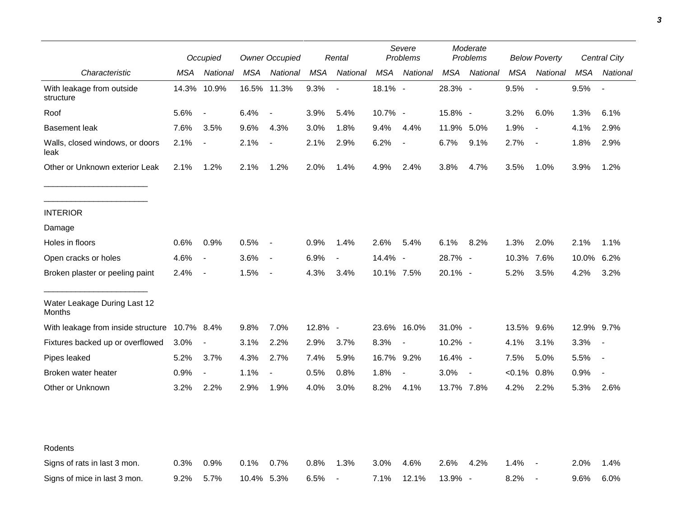|                                               | Occupied |                          | <b>Owner Occupied</b> |                          | Rental  |                          | Severe<br><b>Problems</b> |                          | Moderate<br>Problems |                | <b>Below Poverty</b> |                          | Central City |                          |
|-----------------------------------------------|----------|--------------------------|-----------------------|--------------------------|---------|--------------------------|---------------------------|--------------------------|----------------------|----------------|----------------------|--------------------------|--------------|--------------------------|
| Characteristic                                | MSA      | National                 | MSA                   | National                 | MSA     | National                 | MSA                       | National                 | MSA                  | National       | <b>MSA</b>           | National                 | MSA          | National                 |
| With leakage from outside<br>structure        | 14.3%    | 10.9%                    |                       | 16.5% 11.3%              | 9.3%    | $\overline{\phantom{a}}$ | 18.1% -                   |                          | 28.3% -              |                | 9.5%                 | $\overline{\phantom{a}}$ | 9.5%         |                          |
| Roof                                          | 5.6%     | $\overline{\phantom{a}}$ | 6.4%                  | $\overline{\phantom{a}}$ | 3.9%    | 5.4%                     | 10.7% -                   |                          | 15.8% -              |                | 3.2%                 | 6.0%                     | 1.3%         | 6.1%                     |
| <b>Basement leak</b>                          | 7.6%     | 3.5%                     | 9.6%                  | 4.3%                     | 3.0%    | 1.8%                     | 9.4%                      | 4.4%                     | 11.9%                | 5.0%           | 1.9%                 | $\blacksquare$           | 4.1%         | 2.9%                     |
| Walls, closed windows, or doors<br>leak       | 2.1%     | $\overline{\phantom{a}}$ | 2.1%                  | $\overline{a}$           | 2.1%    | 2.9%                     | 6.2%                      |                          | 6.7%                 | 9.1%           | 2.7%                 | $\overline{\phantom{a}}$ | 1.8%         | 2.9%                     |
| Other or Unknown exterior Leak                | 2.1%     | 1.2%                     | 2.1%                  | 1.2%                     | 2.0%    | 1.4%                     | 4.9%                      | 2.4%                     | 3.8%                 | 4.7%           | 3.5%                 | 1.0%                     | 3.9%         | 1.2%                     |
| <b>INTERIOR</b>                               |          |                          |                       |                          |         |                          |                           |                          |                      |                |                      |                          |              |                          |
| Damage                                        |          |                          |                       |                          |         |                          |                           |                          |                      |                |                      |                          |              |                          |
| Holes in floors                               | 0.6%     | 0.9%                     | 0.5%                  | $\overline{\phantom{a}}$ | 0.9%    | 1.4%                     | 2.6%                      | 5.4%                     | 6.1%                 | 8.2%           | 1.3%                 | 2.0%                     | 2.1%         | 1.1%                     |
| Open cracks or holes                          | 4.6%     | $\overline{\phantom{a}}$ | 3.6%                  | $\blacksquare$           | 6.9%    | $\blacksquare$           | 14.4% -                   |                          | 28.7% -              |                | 10.3%                | 7.6%                     | 10.0%        | 6.2%                     |
| Broken plaster or peeling paint               | 2.4%     | $\blacksquare$           | 1.5%                  | $\blacksquare$           | 4.3%    | 3.4%                     | 10.1% 7.5%                |                          | 20.1% -              |                | 5.2%                 | 3.5%                     | 4.2%         | 3.2%                     |
| Water Leakage During Last 12<br>Months        |          |                          |                       |                          |         |                          |                           |                          |                      |                |                      |                          |              |                          |
| With leakage from inside structure 10.7% 8.4% |          |                          | 9.8%                  | 7.0%                     | 12.8% - |                          |                           | 23.6% 16.0%              | 31.0% -              |                | 13.5%                | 9.6%                     | 12.9% 9.7%   |                          |
| Fixtures backed up or overflowed              | 3.0%     | $\overline{\phantom{a}}$ | 3.1%                  | 2.2%                     | 2.9%    | 3.7%                     | 8.3%                      | $\overline{\phantom{a}}$ | 10.2% -              |                | 4.1%                 | 3.1%                     | 3.3%         | $\overline{\phantom{a}}$ |
| Pipes leaked                                  | 5.2%     | 3.7%                     | 4.3%                  | 2.7%                     | 7.4%    | 5.9%                     | 16.7% 9.2%                |                          | 16.4% -              |                | 7.5%                 | 5.0%                     | 5.5%         |                          |
| Broken water heater                           | 0.9%     | $\overline{\phantom{a}}$ | 1.1%                  | $\overline{a}$           | 0.5%    | 0.8%                     | 1.8%                      | $\overline{\phantom{a}}$ | 3.0%                 | $\blacksquare$ | $< 0.1\%$            | 0.8%                     | 0.9%         | $\overline{a}$           |
| Other or Unknown                              | 3.2%     | 2.2%                     | 2.9%                  | 1.9%                     | 4.0%    | 3.0%                     | 8.2%                      | 4.1%                     | 13.7% 7.8%           |                | 4.2%                 | 2.2%                     | 5.3%         | 2.6%                     |
| Rodents                                       |          |                          |                       |                          |         |                          |                           |                          |                      |                |                      |                          |              |                          |
| Signs of rats in last 3 mon.                  | 0.3%     | 0.9%                     | 0.1%                  | 0.7%                     | 0.8%    | 1.3%                     | 3.0%                      | 4.6%                     | 2.6%                 | 4.2%           | 1.4%                 |                          | 2.0%         | 1.4%                     |
| Signs of mice in last 3 mon.                  | 9.2%     | 5.7%                     | 10.4% 5.3%            |                          | 6.5%    | $\overline{a}$           | 7.1%                      | 12.1%                    | 13.9% -              |                | 8.2%                 | $\overline{\phantom{a}}$ | 9.6%         | 6.0%                     |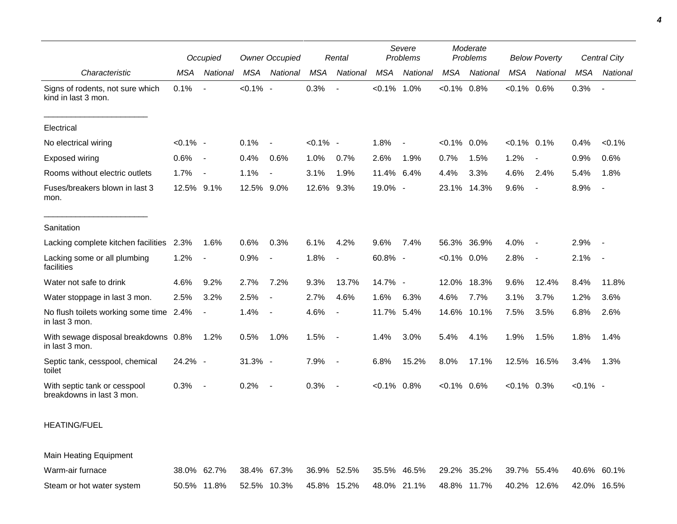|                                                           |             | Occupied                 |             | <b>Owner Occupied</b>    |             | Rental                   |           | Severe<br>Problems |                | Moderate<br>Problems |                | <b>Below Poverty</b>     |             | Central City             |
|-----------------------------------------------------------|-------------|--------------------------|-------------|--------------------------|-------------|--------------------------|-----------|--------------------|----------------|----------------------|----------------|--------------------------|-------------|--------------------------|
| Characteristic                                            | <b>MSA</b>  | National                 | <b>MSA</b>  | National                 | <b>MSA</b>  | National                 | MSA       | National           | <b>MSA</b>     | National             | <b>MSA</b>     | National                 | <b>MSA</b>  | National                 |
| Signs of rodents, not sure which<br>kind in last 3 mon.   | 0.1%        | $\blacksquare$           | $< 0.1\%$ - |                          | 0.3%        |                          | $< 0.1\%$ | $1.0\%$            | $< 0.1\%$ 0.8% |                      | $< 0.1\%$      | 0.6%                     | 0.3%        | $\overline{\phantom{a}}$ |
| Electrical                                                |             |                          |             |                          |             |                          |           |                    |                |                      |                |                          |             |                          |
| No electrical wiring                                      | $< 0.1\%$ - |                          | 0.1%        | $\sim$                   | $< 0.1\%$ - |                          | 1.8%      | $\blacksquare$     | $< 0.1\%$ 0.0% |                      | $< 0.1\%$ 0.1% |                          | 0.4%        | $< 0.1\%$                |
| Exposed wiring                                            | 0.6%        | $\overline{\phantom{a}}$ | 0.4%        | 0.6%                     | 1.0%        | 0.7%                     | 2.6%      | 1.9%               | 0.7%           | 1.5%                 | 1.2%           | $\overline{\phantom{a}}$ | 0.9%        | 0.6%                     |
| Rooms without electric outlets                            | 1.7%        | $\overline{\phantom{a}}$ | 1.1%        | $\sim$                   | 3.1%        | 1.9%                     | 11.4%     | 6.4%               | 4.4%           | 3.3%                 | 4.6%           | 2.4%                     | 5.4%        | 1.8%                     |
| Fuses/breakers blown in last 3<br>mon.                    | 12.5% 9.1%  |                          | 12.5% 9.0%  |                          | 12.6%       | 9.3%                     | 19.0% -   |                    | 23.1%          | 14.3%                | 9.6%           | $\overline{\phantom{a}}$ | 8.9%        | $\blacksquare$           |
| Sanitation                                                |             |                          |             |                          |             |                          |           |                    |                |                      |                |                          |             |                          |
| Lacking complete kitchen facilities                       | 2.3%        | 1.6%                     | 0.6%        | 0.3%                     | 6.1%        | 4.2%                     | 9.6%      | 7.4%               |                | 56.3% 36.9%          | 4.0%           |                          | 2.9%        | $\overline{a}$           |
| Lacking some or all plumbing<br>facilities                | 1.2%        | $\blacksquare$           | 0.9%        | $\overline{\phantom{a}}$ | 1.8%        | $\sim$                   | 60.8% -   |                    | $< 0.1\%$ 0.0% |                      | 2.8%           | $\overline{\phantom{a}}$ | 2.1%        | $\overline{\phantom{a}}$ |
| Water not safe to drink                                   | 4.6%        | 9.2%                     | 2.7%        | 7.2%                     | 9.3%        | 13.7%                    | 14.7% -   |                    | 12.0%          | 18.3%                | 9.6%           | 12.4%                    | 8.4%        | 11.8%                    |
| Water stoppage in last 3 mon.                             | 2.5%        | 3.2%                     | 2.5%        | $\overline{\phantom{a}}$ | 2.7%        | 4.6%                     | 1.6%      | 6.3%               | 4.6%           | 7.7%                 | 3.1%           | 3.7%                     | 1.2%        | 3.6%                     |
| No flush toilets working some time 2.4%<br>in last 3 mon. |             | $\overline{\phantom{a}}$ | 1.4%        | $\overline{\phantom{a}}$ | 4.6%        |                          | 11.7%     | 5.4%               | 14.6%          | 10.1%                | 7.5%           | 3.5%                     | 6.8%        | 2.6%                     |
| With sewage disposal breakdowns 0.8%<br>in last 3 mon.    |             | 1.2%                     | 0.5%        | 1.0%                     | 1.5%        | $\overline{\phantom{a}}$ | 1.4%      | 3.0%               | 5.4%           | 4.1%                 | 1.9%           | 1.5%                     | 1.8%        | 1.4%                     |
| Septic tank, cesspool, chemical<br>toilet                 | 24.2% -     |                          | 31.3% -     |                          | 7.9%        | $\overline{\phantom{a}}$ | 6.8%      | 15.2%              | 8.0%           | 17.1%                |                | 12.5% 16.5%              | 3.4%        | 1.3%                     |
| With septic tank or cesspool<br>breakdowns in last 3 mon. | 0.3%        | $\blacksquare$           | 0.2%        | $\sim$                   | 0.3%        | $\overline{\phantom{a}}$ | $< 0.1\%$ | 0.8%               | $< 0.1\%$ 0.6% |                      | $< 0.1\%$ 0.3% |                          | $< 0.1\%$ - |                          |
| <b>HEATING/FUEL</b>                                       |             |                          |             |                          |             |                          |           |                    |                |                      |                |                          |             |                          |

Main Heating Equipment

| Warm-air furnace          |  | 38.0% 62.7% 38.4% 67.3% 36.9% 52.5% 35.5% 46.5% 29.2% 35.2% 39.7% 55.4% 40.6% 60.1% |  |  |  |  |  |
|---------------------------|--|-------------------------------------------------------------------------------------|--|--|--|--|--|
| Steam or hot water system |  | 50.5% 11.8% 52.5% 10.3% 45.8% 15.2% 48.0% 21.1% 48.8% 11.7% 40.2% 12.6% 42.0% 16.5% |  |  |  |  |  |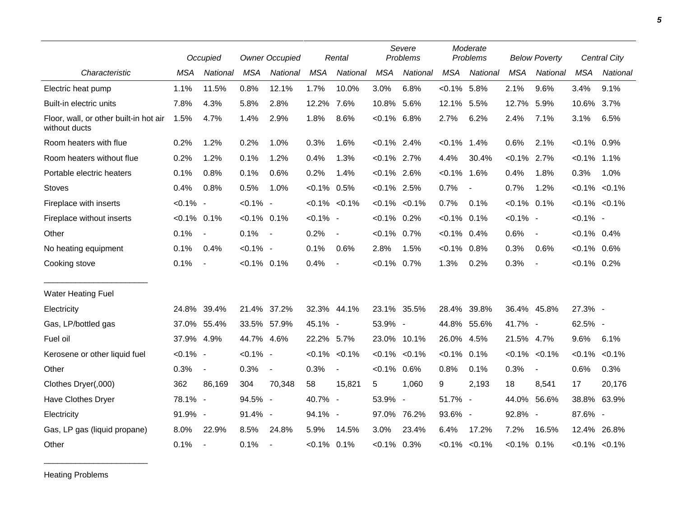|                                                         |                | Occupied                 |                | <b>Owner Occupied</b>    |                | Rental                   |                | Severe<br>Problems  |                | Moderate<br>Problems |                | <b>Below Poverty</b>     |                   | <b>Central City</b> |  |
|---------------------------------------------------------|----------------|--------------------------|----------------|--------------------------|----------------|--------------------------|----------------|---------------------|----------------|----------------------|----------------|--------------------------|-------------------|---------------------|--|
| Characteristic                                          | <b>MSA</b>     | National                 | <b>MSA</b>     | National                 | <b>MSA</b>     | National                 | <b>MSA</b>     | National            | <b>MSA</b>     | National             | <b>MSA</b>     | National                 | <b>MSA</b>        | National            |  |
| Electric heat pump                                      | 1.1%           | 11.5%                    | 0.8%           | 12.1%                    | 1.7%           | 10.0%                    | 3.0%           | 6.8%                | $< 0.1\%$ 5.8% |                      | 2.1%           | 9.6%                     | 3.4%              | 9.1%                |  |
| Built-in electric units                                 | 7.8%           | 4.3%                     | 5.8%           | 2.8%                     | 12.2%          | 7.6%                     | 10.8% 5.6%     |                     | 12.1%          | 5.5%                 | 12.7%          | 5.9%                     | 10.6%             | 3.7%                |  |
| Floor, wall, or other built-in hot air<br>without ducts | 1.5%           | 4.7%                     | 1.4%           | 2.9%                     | 1.8%           | 8.6%                     | $< 0.1\%$ 6.8% |                     | 2.7%           | 6.2%                 | 2.4%           | 7.1%                     | 3.1%              | 6.5%                |  |
| Room heaters with flue                                  | 0.2%           | 1.2%                     | 0.2%           | 1.0%                     | 0.3%           | 1.6%                     | $< 0.1\%$ 2.4% |                     | $< 0.1\%$      | 1.4%                 | 0.6%           | 2.1%                     | $< 0.1\%$ 0.9%    |                     |  |
| Room heaters without flue                               | 0.2%           | 1.2%                     | 0.1%           | 1.2%                     | 0.4%           | 1.3%                     | $< 0.1\%$ 2.7% |                     | 4.4%           | 30.4%                | $< 0.1\%$ 2.7% |                          | $< 0.1\%$ 1.1%    |                     |  |
| Portable electric heaters                               | 0.1%           | 0.8%                     | 0.1%           | 0.6%                     | 0.2%           | 1.4%                     | $< 0.1\%$ 2.6% |                     | $< 0.1\%$      | 1.6%                 | 0.4%           | 1.8%                     | 0.3%              | 1.0%                |  |
| <b>Stoves</b>                                           | 0.4%           | 0.8%                     | 0.5%           | 1.0%                     | $< 0.1\%$ 0.5% |                          | $< 0.1\%$ 2.5% |                     | 0.7%           | $\blacksquare$       | 0.7%           | 1.2%                     | $< 0.1\% < 0.1\%$ |                     |  |
| Fireplace with inserts                                  | $< 0.1\%$ -    |                          | $< 0.1\%$ -    |                          |                | $< 0.1\%$ $< 0.1\%$      |                | $< 0.1\%$ $< 0.1\%$ | 0.7%           | 0.1%                 | $< 0.1\%$ 0.1% |                          | $< 0.1\% < 0.1\%$ |                     |  |
| Fireplace without inserts                               | $< 0.1\%$ 0.1% |                          | $< 0.1\%$ 0.1% |                          | $< 0.1\%$ -    |                          | $< 0.1\%$ 0.2% |                     | $< 0.1\%$      | 0.1%                 | $< 0.1\%$ -    |                          | $< 0.1\%$ -       |                     |  |
| Other                                                   | 0.1%           | $\overline{\phantom{a}}$ | 0.1%           | $\overline{\phantom{a}}$ | 0.2%           | $\overline{\phantom{a}}$ | $< 0.1\%$ 0.7% |                     | $< 0.1\%$ 0.4% |                      | 0.6%           | $\overline{\phantom{a}}$ | $< 0.1\%$ 0.4%    |                     |  |
| No heating equipment                                    | 0.1%           | 0.4%                     | $< 0.1\%$ -    |                          | 0.1%           | 0.6%                     | 2.8%           | 1.5%                | $< 0.1\%$      | 0.8%                 | 0.3%           | 0.6%                     | $< 0.1\%$ 0.6%    |                     |  |
| Cooking stove                                           | 0.1%           | $\overline{\phantom{a}}$ | $< 0.1\%$ 0.1% |                          | 0.4%           | $\blacksquare$           | $< 0.1\%$ 0.7% |                     | 1.3%           | 0.2%                 | 0.3%           | $\overline{\phantom{a}}$ | $< 0.1\%$ 0.2%    |                     |  |
| Water Heating Fuel                                      |                |                          |                |                          |                |                          |                |                     |                |                      |                |                          |                   |                     |  |
| Electricity                                             | 24.8%          | 39.4%                    | 21.4% 37.2%    |                          |                | 32.3% 44.1%              |                | 23.1% 35.5%         | 28.4%          | 39.8%                |                | 36.4% 45.8%              | 27.3% -           |                     |  |
| Gas, LP/bottled gas                                     | 37.0%          | 55.4%                    | 33.5% 57.9%    |                          | 45.1% -        |                          | 53.9% -        |                     |                | 44.8% 55.6%          | 41.7% -        |                          | 62.5% -           |                     |  |
| Fuel oil                                                | 37.9% 4.9%     |                          | 44.7% 4.6%     |                          | 22.2% 5.7%     |                          |                | 23.0% 10.1%         | 26.0% 4.5%     |                      | 21.5% 4.7%     |                          | 9.6%              | 6.1%                |  |
| Kerosene or other liquid fuel                           | $< 0.1\%$ -    |                          | $< 0.1\%$ -    |                          |                | $< 0.1\%$ $< 0.1\%$      |                | $< 0.1\%$ $< 0.1\%$ | $< 0.1\%$      | 0.1%                 | $< 0.1\%$      | < 0.1%                   | $< 0.1\%$         | $< 0.1\%$           |  |
| Other                                                   | 0.3%           | $\blacksquare$           | 0.3%           | $\overline{\phantom{a}}$ | 0.3%           | $\blacksquare$           | $< 0.1\%$ 0.6% |                     | 0.8%           | 0.1%                 | 0.3%           | $\blacksquare$           | 0.6%              | 0.3%                |  |
| Clothes Dryer(,000)                                     | 362            | 86.169                   | 304            | 70,348                   | 58             | 15,821                   | 5              | 1,060               | 9              | 2,193                | 18             | 8,541                    | 17                | 20,176              |  |
| Have Clothes Dryer                                      | 78.1% -        |                          | 94.5% -        |                          | 40.7% -        |                          | 53.9% -        |                     | 51.7% -        |                      |                | 44.0% 56.6%              | 38.8% 63.9%       |                     |  |
| Electricity                                             | 91.9% -        |                          | 91.4% -        |                          | 94.1% -        |                          | 97.0%          | 76.2%               | 93.6% -        |                      | 92.8% -        |                          | 87.6% -           |                     |  |
| Gas, LP gas (liquid propane)                            | $8.0\%$        | 22.9%                    | 8.5%           | 24.8%                    | 5.9%           | 14.5%                    | $3.0\%$        | 23.4%               | 6.4%           | 17.2%                | 7.2%           | 16.5%                    | 12.4%             | 26.8%               |  |
| Other                                                   | 0.1%           | $\overline{\phantom{a}}$ | 0.1%           |                          | $< 0.1\%$ 0.1% |                          | $< 0.1\%$ 0.3% |                     |                | $< 0.1\%$ $< 0.1\%$  | $< 0.1\%$ 0.1% |                          |                   | $< 0.1\%$ < 0.1%    |  |

Heating Problems

\_\_\_\_\_\_\_\_\_\_\_\_\_\_\_\_\_\_\_\_\_\_\_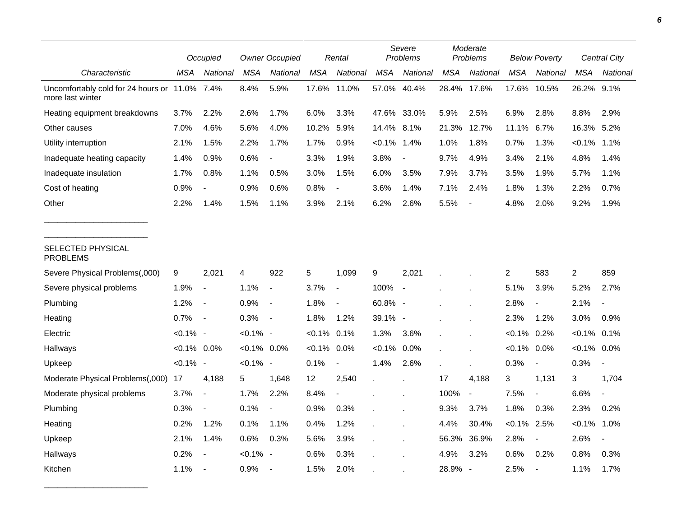|                                                                   |                | Occupied                 |                | <b>Owner Occupied</b>    |            | Rental                   |             | Severe<br>Problems         |            | Moderate<br>Problems     |                | <b>Below Poverty</b>     |                | Central City             |  |
|-------------------------------------------------------------------|----------------|--------------------------|----------------|--------------------------|------------|--------------------------|-------------|----------------------------|------------|--------------------------|----------------|--------------------------|----------------|--------------------------|--|
| Characteristic                                                    | MSA            | National                 | <b>MSA</b>     | National                 | <b>MSA</b> | National                 | <b>MSA</b>  | National                   | <b>MSA</b> | National                 | MSA            | National                 | <b>MSA</b>     | National                 |  |
| Uncomfortably cold for 24 hours or 11.0% 7.4%<br>more last winter |                |                          | 8.4%           | 5.9%                     | 17.6%      | 11.0%                    | 57.0%       | 40.4%                      | 28.4%      | 17.6%                    | 17.6%          | 10.5%                    | 26.2%          | 9.1%                     |  |
| Heating equipment breakdowns                                      | 3.7%           | 2.2%                     | 2.6%           | 1.7%                     | 6.0%       | 3.3%                     | 47.6% 33.0% |                            | 5.9%       | 2.5%                     | 6.9%           | 2.8%                     | 8.8%           | 2.9%                     |  |
| Other causes                                                      | 7.0%           | 4.6%                     | 5.6%           | 4.0%                     | 10.2%      | 5.9%                     | 14.4% 8.1%  |                            | 21.3%      | 12.7%                    | 11.1%          | 6.7%                     | 16.3%          | 5.2%                     |  |
| Utility interruption                                              | 2.1%           | 1.5%                     | 2.2%           | 1.7%                     | 1.7%       | 0.9%                     | $< 0.1\%$   | 1.4%                       | 1.0%       | 1.8%                     | 0.7%           | 1.3%                     | $< 0.1\%$      | 1.1%                     |  |
| Inadequate heating capacity                                       | 1.4%           | 0.9%                     | 0.6%           | $\blacksquare$           | 3.3%       | 1.9%                     | 3.8%        | $\overline{\phantom{a}}$   | 9.7%       | 4.9%                     | 3.4%           | 2.1%                     | 4.8%           | 1.4%                     |  |
| Inadequate insulation                                             | 1.7%           | 0.8%                     | 1.1%           | 0.5%                     | 3.0%       | 1.5%                     | 6.0%        | 3.5%                       | 7.9%       | 3.7%                     | 3.5%           | 1.9%                     | 5.7%           | 1.1%                     |  |
| Cost of heating                                                   | 0.9%           |                          | 0.9%           | 0.6%                     | 0.8%       | $\blacksquare$           | 3.6%        | 1.4%                       | 7.1%       | 2.4%                     | 1.8%           | 1.3%                     | 2.2%           | 0.7%                     |  |
| Other                                                             | 2.2%           | 1.4%                     | 1.5%           | 1.1%                     | 3.9%       | 2.1%                     | 6.2%        | 2.6%                       | 5.5%       |                          | 4.8%           | 2.0%                     | 9.2%           | 1.9%                     |  |
| SELECTED PHYSICAL<br><b>PROBLEMS</b>                              |                |                          |                |                          |            |                          |             |                            |            |                          |                |                          |                |                          |  |
| Severe Physical Problems(,000)                                    | 9              | 2,021                    | 4              | 922                      | 5          | 1,099                    | 9           | 2,021                      |            |                          | 2              | 583                      | $\overline{c}$ | 859                      |  |
| Severe physical problems                                          | 1.9%           | $\overline{\phantom{a}}$ | 1.1%           | $\overline{\phantom{a}}$ | 3.7%       | $\blacksquare$           | 100%        | $\mathcal{L}_{\mathbf{r}}$ |            |                          | 5.1%           | 3.9%                     | 5.2%           | 2.7%                     |  |
| Plumbing                                                          | 1.2%           | $\overline{\phantom{a}}$ | 0.9%           | $\overline{\phantom{a}}$ | 1.8%       | $\overline{\phantom{a}}$ | 60.8% -     |                            |            |                          | 2.8%           | $\overline{\phantom{a}}$ | 2.1%           |                          |  |
| Heating                                                           | 0.7%           | $\overline{\phantom{a}}$ | 0.3%           | $\blacksquare$           | 1.8%       | 1.2%                     | 39.1% -     |                            |            |                          | 2.3%           | 1.2%                     | 3.0%           | 0.9%                     |  |
| Electric                                                          | $< 0.1\%$ -    |                          | $< 0.1\%$ -    |                          | $< 0.1\%$  | 0.1%                     | 1.3%        | 3.6%                       |            |                          | $< 0.1\%$      | 0.2%                     | $< 0.1\%$ 0.1% |                          |  |
| Hallways                                                          | $< 0.1\%$ 0.0% |                          | $< 0.1\%$ 0.0% |                          | $< 0.1\%$  | 0.0%                     | $< 0.1\%$   | 0.0%                       |            |                          | $< 0.1\%$ 0.0% |                          | $< 0.1\%$ 0.0% |                          |  |
| Upkeep                                                            | $< 0.1\%$ -    |                          | $< 0.1\%$ -    |                          | 0.1%       | $\overline{\phantom{a}}$ | 1.4%        | 2.6%                       |            |                          | 0.3%           | $\blacksquare$           | 0.3%           | $\overline{\phantom{a}}$ |  |
| Moderate Physical Problems(,000)                                  | 17             | 4,188                    | 5              | 1,648                    | 12         | 2,540                    |             |                            | 17         | 4,188                    | 3              | 1,131                    | 3              | 1,704                    |  |
| Moderate physical problems                                        | 3.7%           | $\overline{\phantom{a}}$ | 1.7%           | 2.2%                     | 8.4%       |                          |             |                            | 100%       | $\blacksquare$           | 7.5%           | $\overline{\phantom{a}}$ | 6.6%           | $\overline{a}$           |  |
| Plumbing                                                          | 0.3%           | $\overline{\phantom{a}}$ | 0.1%           | $\blacksquare$           | 0.9%       | 0.3%                     |             |                            | 9.3%       | 3.7%                     | 1.8%           | 0.3%                     | 2.3%           | 0.2%                     |  |
| Heating                                                           | 0.2%           | 1.2%                     | 0.1%           | 1.1%                     | 0.4%       | 1.2%                     |             |                            | 4.4%       | 30.4%                    | $< 0.1\%$ 2.5% |                          | $< 0.1\%$      | 1.0%                     |  |
| Upkeep                                                            | 2.1%           | 1.4%                     | 0.6%           | 0.3%                     | 5.6%       | 3.9%                     |             |                            | 56.3%      | 36.9%                    | 2.8%           | $\blacksquare$           | 2.6%           | $\overline{\phantom{a}}$ |  |
| Hallways                                                          | 0.2%           |                          | $< 0.1\%$      | $\overline{\phantom{a}}$ | 0.6%       | 0.3%                     |             |                            | 4.9%       | 3.2%                     | 0.6%           | 0.2%                     | 0.8%           | 0.3%                     |  |
| Kitchen                                                           | 1.1%           | $\overline{\phantom{a}}$ | 0.9%           |                          | 1.5%       | 2.0%                     |             |                            | 28.9%      | $\overline{\phantom{a}}$ | 2.5%           | $\blacksquare$           | 1.1%           | 1.7%                     |  |

\_\_\_\_\_\_\_\_\_\_\_\_\_\_\_\_\_\_\_\_\_\_\_